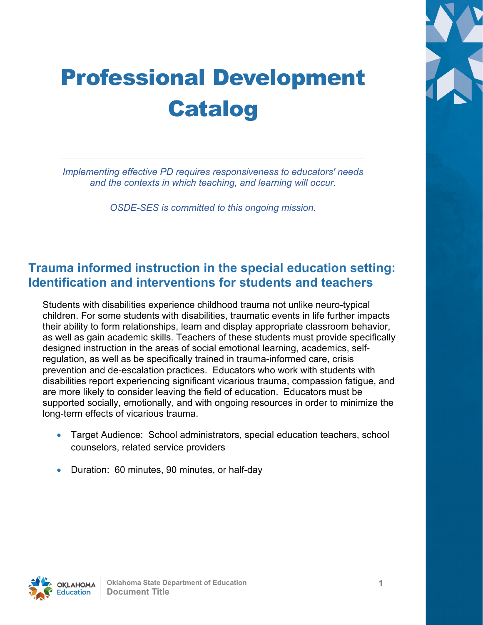# Professional Development Catalog

*Implementing effective PD requires responsiveness to educators' needs and the contexts in which teaching, and learning will occur.* 

*OSDE-SES is committed to this ongoing mission.* 

#### **Trauma informed instruction in the special education setting: Identification and interventions for students and teachers**

Students with disabilities experience childhood trauma not unlike neuro-typical children. For some students with disabilities, traumatic events in life further impacts their ability to form relationships, learn and display appropriate classroom behavior, as well as gain academic skills. Teachers of these students must provide specifically designed instruction in the areas of social emotional learning, academics, selfregulation, as well as be specifically trained in trauma-informed care, crisis prevention and de-escalation practices. Educators who work with students with disabilities report experiencing significant vicarious trauma, compassion fatigue, and are more likely to consider leaving the field of education. Educators must be supported socially, emotionally, and with ongoing resources in order to minimize the long-term effects of vicarious trauma.

- Target Audience: School administrators, special education teachers, school counselors, related service providers
- Duration: 60 minutes, 90 minutes, or half-day

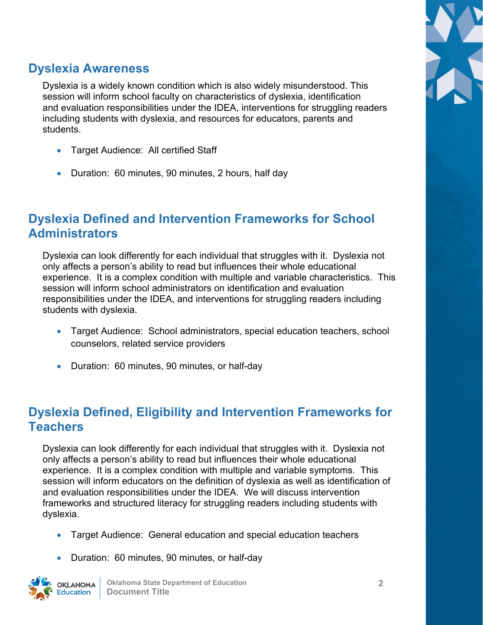

### **Dyslexia Awareness**

Dyslexia is a widely known condition which is also widely misunderstood. This session will inform school faculty on characteristics of dyslexia, identification and evaluation responsibilities under the IDEA, interventions for struggling readers including students with dyslexia, and resources for educators, parents and students.

- Target Audience: All certified Staff
- Duration: 60 minutes, 90 minutes, 2 hours, half day

## **Dyslexia Defined and Intervention Frameworks for School Administrators**

Dyslexia can look differently for each individual that struggles with it. Dyslexia not only affects a person's ability to read but influences their whole educational experience. It is a complex condition with multiple and variable characteristics. This session will inform school administrators on identification and evaluation responsibilities under the IDEA, and interventions for struggling readers including students with dyslexia.

- Target Audience: School administrators, special education teachers, school counselors, related service providers
- Duration: 60 minutes, 90 minutes, or half-day

### **Dyslexia Defined, Eligibility and Intervention Frameworks for Teachers**

Dyslexia can look differently for each individual that struggles with it. Dyslexia not only affects a person's ability to read but influences their whole educational experience. It is a complex condition with multiple and variable symptoms. This session will inform educators on the definition of dyslexia as well as identification of and evaluation responsibilities under the IDEA. We will discuss intervention frameworks and structured literacy for struggling readers including students with dyslexia.

- Target Audience: General education and special education teachers
- Duration: 60 minutes, 90 minutes, or half-day

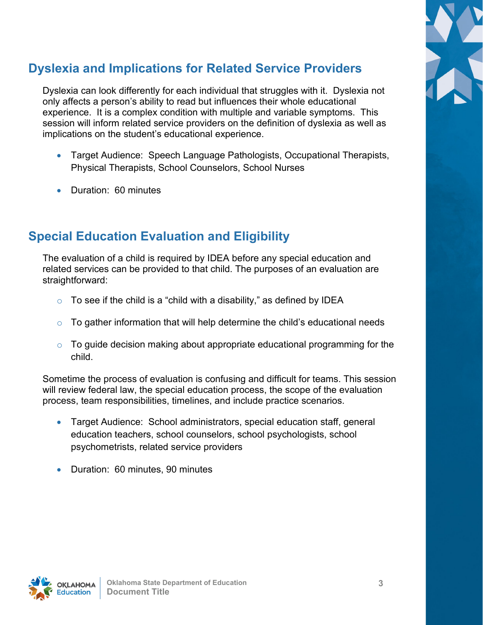# **Dyslexia and Implications for Related Service Providers**

Dyslexia can look differently for each individual that struggles with it. Dyslexia not only affects a person's ability to read but influences their whole educational experience. It is a complex condition with multiple and variable symptoms. This session will inform related service providers on the definition of dyslexia as well as implications on the student's educational experience.

- Target Audience: Speech Language Pathologists, Occupational Therapists, Physical Therapists, School Counselors, School Nurses
- Duration: 60 minutes

## **Special Education Evaluation and Eligibility**

The evaluation of a child is required by IDEA before any special education and related services can be provided to that child. The purposes of an evaluation are straightforward:

- $\circ$  To see if the child is a "child with a disability," as defined by IDEA
- $\circ$  To gather information that will help determine the child's educational needs
- $\circ$  To guide decision making about appropriate educational programming for the child.

Sometime the process of evaluation is confusing and difficult for teams. This session will review federal law, the special education process, the scope of the evaluation process, team responsibilities, timelines, and include practice scenarios.

- Target Audience: School administrators, special education staff, general education teachers, school counselors, school psychologists, school psychometrists, related service providers
- Duration: 60 minutes, 90 minutes



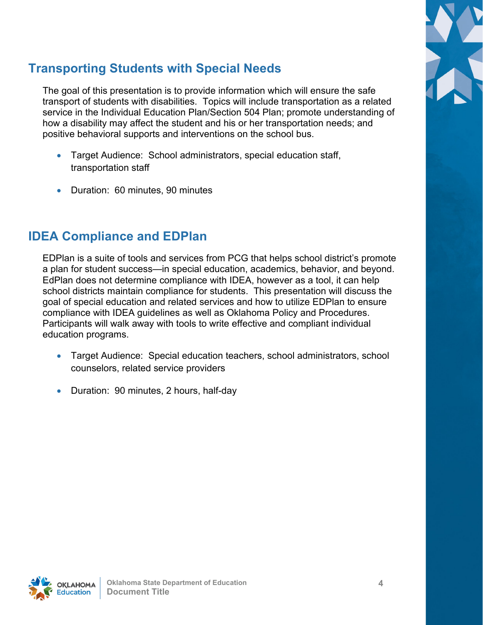# **Transporting Students with Special Needs**

The goal of this presentation is to provide information which will ensure the safe transport of students with disabilities. Topics will include transportation as a related service in the Individual Education Plan/Section 504 Plan; promote understanding of how a disability may affect the student and his or her transportation needs; and positive behavioral supports and interventions on the school bus.

- Target Audience: School administrators, special education staff, transportation staff
- Duration: 60 minutes, 90 minutes

#### **IDEA Compliance and EDPlan**

EDPlan is a suite of tools and services from PCG that helps school district's promote a plan for student success—in special education, academics, behavior, and beyond. EdPlan does not determine compliance with IDEA, however as a tool, it can help school districts maintain compliance for students. This presentation will discuss the goal of special education and related services and how to utilize EDPlan to ensure compliance with IDEA guidelines as well as Oklahoma Policy and Procedures. Participants will walk away with tools to write effective and compliant individual education programs.

- Target Audience: Special education teachers, school administrators, school counselors, related service providers
- Duration: 90 minutes, 2 hours, half-day

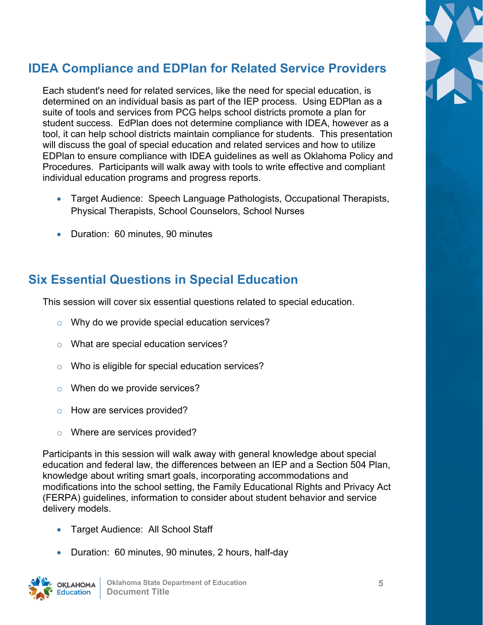# **IDEA Compliance and EDPlan for Related Service Providers**

Each student's need for related services, like the need for special education, is determined on an individual basis as part of the IEP process. Using EDPlan as a suite of tools and services from PCG helps school districts promote a plan for student success. EdPlan does not determine compliance with IDEA, however as a tool, it can help school districts maintain compliance for students. This presentation will discuss the goal of special education and related services and how to utilize EDPlan to ensure compliance with IDEA guidelines as well as Oklahoma Policy and Procedures. Participants will walk away with tools to write effective and compliant individual education programs and progress reports.

- Target Audience: Speech Language Pathologists, Occupational Therapists, Physical Therapists, School Counselors, School Nurses
- Duration: 60 minutes, 90 minutes

## **Six Essential Questions in Special Education**

This session will cover six essential questions related to special education.

- Why do we provide special education services?
- o What are special education services?
- o Who is eligible for special education services?
- o When do we provide services?
- o How are services provided?
- o Where are services provided?

Participants in this session will walk away with general knowledge about special education and federal law, the differences between an IEP and a Section 504 Plan, knowledge about writing smart goals, incorporating accommodations and modifications into the school setting, the Family Educational Rights and Privacy Act (FERPA) guidelines, information to consider about student behavior and service delivery models.

- Target Audience: All School Staff
- Duration: 60 minutes, 90 minutes, 2 hours, half-day



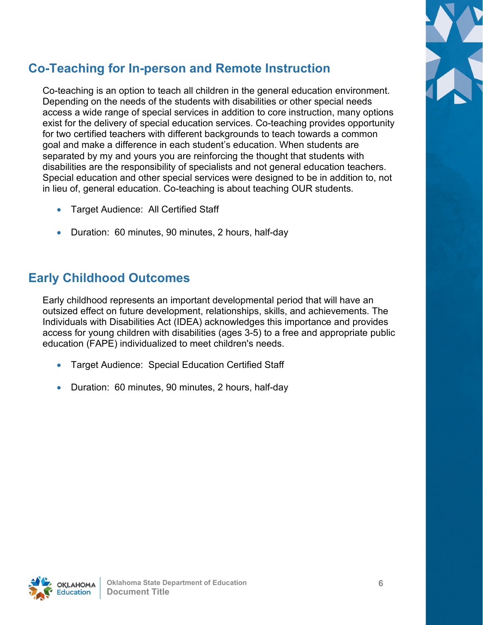# **Co-Teaching for In-person and Remote Instruction**

Co-teaching is an option to teach all children in the general education environment. Depending on the needs of the students with disabilities or other special needs access a wide range of special services in addition to core instruction, many options exist for the delivery of special education services. Co-teaching provides opportunity for two certified teachers with different backgrounds to teach towards a common goal and make a difference in each student's education. When students are separated by my and yours you are reinforcing the thought that students with disabilities are the responsibility of specialists and not general education teachers. Special education and other special services were designed to be in addition to, not in lieu of, general education. Co-teaching is about teaching OUR students.

- Target Audience: All Certified Staff
- Duration: 60 minutes, 90 minutes, 2 hours, half-day

### **Early Childhood Outcomes**

Early childhood represents an important developmental period that will have an outsized effect on future development, relationships, skills, and achievements. The Individuals with Disabilities Act (IDEA) acknowledges this importance and provides access for young children with disabilities (ages 3-5) to a free and appropriate public education (FAPE) individualized to meet children's needs.

- Target Audience: Special Education Certified Staff
- Duration: 60 minutes, 90 minutes, 2 hours, half-day

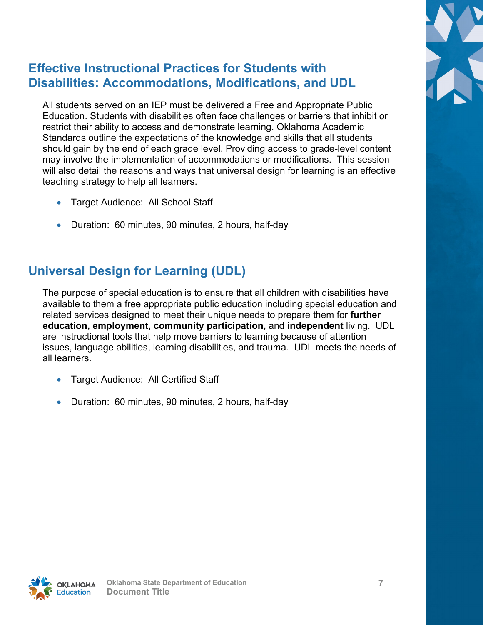

## **Effective Instructional Practices for Students with Disabilities: Accommodations, Modifications, and UDL**

All students served on an IEP must be delivered a Free and Appropriate Public Education. Students with disabilities often face challenges or barriers that inhibit or restrict their ability to access and demonstrate learning. Oklahoma Academic Standards outline the expectations of the knowledge and skills that all students should gain by the end of each grade level. Providing access to grade-level content may involve the implementation of accommodations or modifications. This session will also detail the reasons and ways that universal design for learning is an effective teaching strategy to help all learners.

- Target Audience: All School Staff
- Duration: 60 minutes, 90 minutes, 2 hours, half-day

## **Universal Design for Learning (UDL)**

The purpose of special education is to ensure that all children with disabilities have available to them a free appropriate public education including special education and related services designed to meet their unique needs to prepare them for **further education, employment, community participation,** and **independent** living. UDL are instructional tools that help move barriers to learning because of attention issues, language abilities, learning disabilities, and trauma. UDL meets the needs of all learners.

- Target Audience: All Certified Staff
- Duration: 60 minutes, 90 minutes, 2 hours, half-day

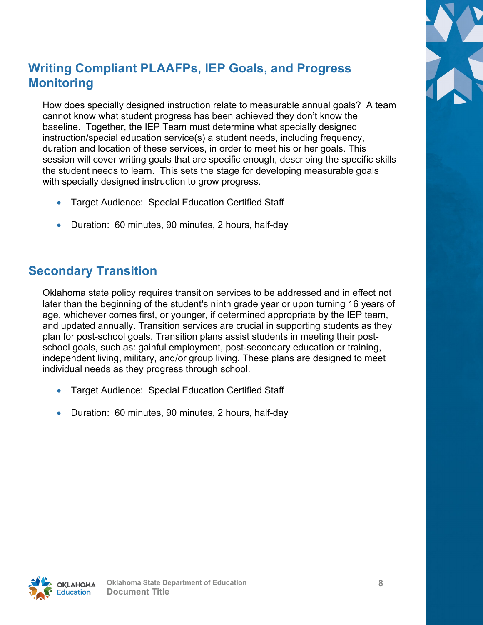

# **Writing Compliant PLAAFPs, IEP Goals, and Progress Monitoring**

How does specially designed instruction relate to measurable annual goals? A team cannot know what student progress has been achieved they don't know the baseline. Together, the IEP Team must determine what specially designed instruction/special education service(s) a student needs, including frequency, duration and location of these services, in order to meet his or her goals. This session will cover writing goals that are specific enough, describing the specific skills the student needs to learn. This sets the stage for developing measurable goals with specially designed instruction to grow progress.

- Target Audience: Special Education Certified Staff
- Duration: 60 minutes, 90 minutes, 2 hours, half-day

### **Secondary Transition**

Oklahoma state policy requires transition services to be addressed and in effect not later than the beginning of the student's ninth grade year or upon turning 16 years of age, whichever comes first, or younger, if determined appropriate by the IEP team, and updated annually. Transition services are crucial in supporting students as they plan for post-school goals. Transition plans assist students in meeting their postschool goals, such as: gainful employment, post-secondary education or training, independent living, military, and/or group living. These plans are designed to meet individual needs as they progress through school.

- Target Audience: Special Education Certified Staff
- Duration: 60 minutes, 90 minutes, 2 hours, half-day